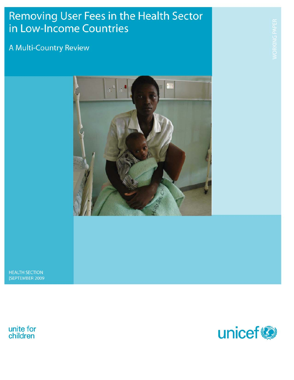# Removing User Fees in the Health Sector in Low-Income Countries

## A Multi-Country Review



**HEALTH SECTION** [SEPTEMBER 2009



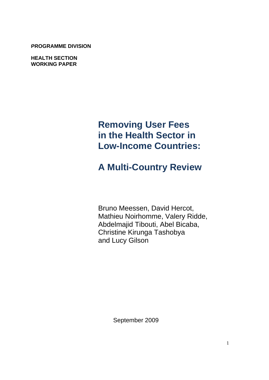**PROGRAMME DIVISION DIVISION**

> **HEALTH SECTION WORKING PAPER**

# **Removing User Fees in the Health Sector in Low-Income Countries:**

# **A Multi-Country Review**

Bruno Meessen, David Hercot, Mathieu Noirhomme, Valery Ridde, Abdelmajid Tibouti, Abel Bicaba, Christine Kirunga Tashobya and Lucy Gilson

September 2009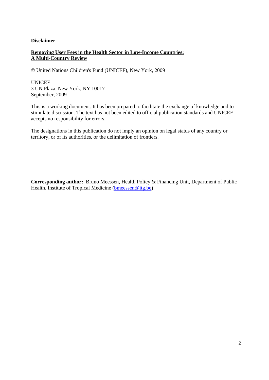#### **Disclaimer**

#### **Removing User Fees in the Health Sector in Low-Income Countries: A Multi-Country Review**

© United Nations Children's Fund (UNICEF), New York, 2009

**UNICEF** 3 UN Plaza, New York, NY 10017 September, 2009

This is a working document. It has been prepared to facilitate the exchange of knowledge and to stimulate discussion. The text has not been edited to official publication standards and UNICEF accepts no responsibility for errors.

The designations in this publication do not imply an opinion on legal status of any country or territory, or of its authorities, or the delimitation of frontiers.

**Corresponding author:** Bruno Meessen, Health Policy & Financing Unit, Department of Public Health, Institute of Tropical Medicine (bmeessen@itg.be)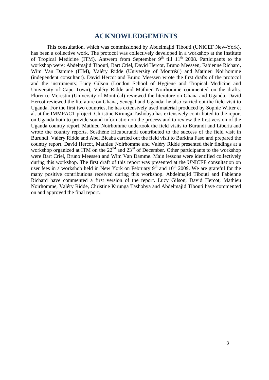#### **ACKNOWLEDGEMENTS**

This consultation, which was commissioned by Abdelmajid Tibouti (UNICEF New-York), has been a collective work. The protocol was collectively developed in a workshop at the Institute of Tropical Medicine (ITM), Antwerp from September  $9<sup>th</sup>$  till  $11<sup>th</sup>$  2008. Participants to the workshop were: Abdelmajid Tibouti, Bart Criel, David Hercot, Bruno Meessen, Fabienne Richard, Wim Van Damme (ITM), Valéry Ridde (University of Montréal) and Mathieu Noirhomme (independent consultant). David Hercot and Bruno Meessen wrote the first drafts of the protocol and the instruments. Lucy Gilson (London School of Hygiene and Tropical Medicine and University of Cape Town), Valéry Ridde and Mathieu Noirhomme commented on the drafts. Florence Morestin (University of Montréal) reviewed the literature on Ghana and Uganda. David Hercot reviewed the literature on Ghana, Senegal and Uganda; he also carried out the field visit to Uganda. For the first two countries, he has extensively used material produced by Sophie Witter et al. at the IMMPACT project. Christine Kirunga Tashobya has extensively contributed to the report on Uganda both to provide sound information on the process and to review the first version of the Uganda country report. Mathieu Noirhomme undertook the field visits to Burundi and Liberia and wrote the country reports. Sosthène Hicuburundi contributed to the success of the field visit in Burundi. Valéry Ridde and Abel Bicaba carried out the field visit to Burkina Faso and prepared the country report. David Hercot, Mathieu Noirhomme and Valéry Ridde presented their findings at a workshop organized at ITM on the  $22<sup>nd</sup>$  and  $23<sup>rd</sup>$  of December. Other participants to the workshop were Bart Criel, Bruno Meessen and Wim Van Damme. Main lessons were identified collectively during this workshop. The first draft of this report was presented at the UNICEF consultation on user fees in a workshop held in New York on February  $9<sup>th</sup>$  and  $10<sup>th</sup>$  2009. We are grateful for the many positive contributions received during this workshop. Abdelmajid Tibouti and Fabienne Richard have commented a first version of the report. Lucy Gilson, David Hercot, Mathieu Noirhomme, Valéry Ridde, Christine Kirunga Tashobya and Abdelmajid Tibouti have commented on and approved the final report.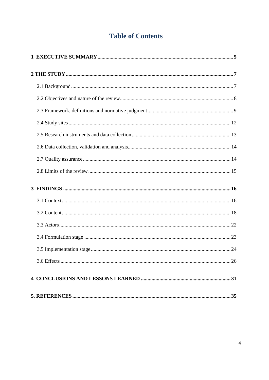### **Table of Contents**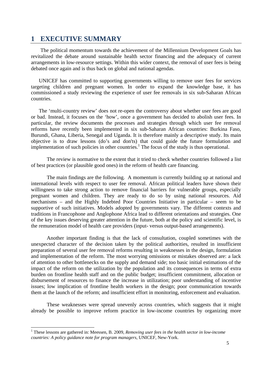#### **1 EXECUTIVE SUMMARY**

The political momentum towards the achievement of the Millennium Development Goals has revitalized the debate around sustainable health sector financing and the adequacy of current arrangements in low-resource settings. Within this wider context, the removal of user fees is being debated once again and is thus back on global and national agendas.

 UNICEF has committed to supporting governments willing to remove user fees for services targeting children and pregnant women. In order to expand the knowledge base, it has commissioned a study reviewing the experience of user fee removals in six sub-Saharan African countries.

 The 'multi-country review' does not re-open the controversy about whether user fees are good or bad. Instead, it focuses on the 'how', once a government has decided to abolish user fees. In particular, the review documents the processes and strategies through which user fee removal reforms have recently been implemented in six sub-Saharan African countries: Burkina Faso, Burundi, Ghana, Liberia, Senegal and Uganda. It is therefore mainly a descriptive study. Its main objective is to draw lessons (do's and don'ts) that could guide the future formulation and implementation of such policies in other countries.<sup>1</sup> The focus of the study is thus operational.

The review is normative to the extent that it tried to check whether countries followed a list of best practices (or plausible good ones) in the reform of health care financing.

The main findings are the following. A momentum is currently building up at national and international levels with respect to user fee removal. African political leaders have shown their willingness to take strong action to remove financial barriers for vulnerable groups, especially pregnant women and children. They are ready to do so by using national resources. Aid mechanisms – and the Highly Indebted Poor Countries Initiative in particular – seem to be supportive of such initiatives. Models adopted by governments vary. The different contexts and traditions in Francophone and Anglophone Africa lead to different orientations and strategies. One of the key issues deserving greater attention in the future, both at the policy and scientific level, is the remuneration model of health care providers (input- versus output-based arrangements).

Another important finding is that the lack of consultation, coupled sometimes with the unexpected character of the decision taken by the political authorities, resulted in insufficient preparation of several user fee removal reforms resulting in weaknesses in the design, formulation and implementation of the reform. The most worrying omissions or mistakes observed are: a lack of attention to other bottlenecks on the supply and demand side; too basic initial estimations of the impact of the reform on the utilization by the population and its consequences in terms of extra burden on frontline health staff and on the public budget; insufficient commitment, allocation or disbursement of resources to finance the increase in utilization; poor understanding of incentive issues; low implication of frontline health workers in the design; poor communication towards them at the launch of the reform; and insufficient effort in monitoring, enforcement and evaluation.

These weaknesses were spread unevenly across countries, which suggests that it might already be possible to improve reform practice in low-income countries by organizing more

 1 These lessons are gathered in: Meessen, B. 2009, *Removing user fees in the health sector in low-income countries: A policy guidance note for program managers*, UNICEF, New-York.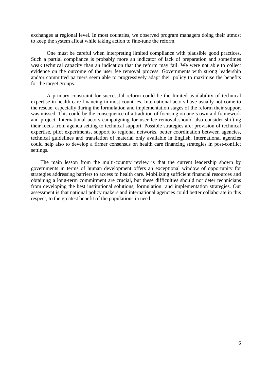exchanges at regional level. In most countries, we observed program managers doing their utmost to keep the system afloat while taking action to fine-tune the reform.

One must be careful when interpreting limited compliance with plausible good practices. Such a partial compliance is probably more an indicator of lack of preparation and sometimes weak technical capacity than an indication that the reform may fail. We were not able to collect evidence on the outcome of the user fee removal process. Governments with strong leadership and/or committed partners seem able to progressively adapt their policy to maximise the benefits for the target groups.

A primary constraint for successful reform could be the limited availability of technical expertise in health care financing in most countries. International actors have usually not come to the rescue; especially during the formulation and implementation stages of the reform their support was missed. This could be the consequence of a tradition of focusing on one's own aid framework and project. International actors campaigning for user fee removal should also consider shifting their focus from agenda setting to technical support. Possible strategies are: provision of technical expertise, pilot experiments, support to regional networks, better coordination between agencies, technical guidelines and translation of material only available in English. International agencies could help also to develop a firmer consensus on health care financing strategies in post-conflict settings.

The main lesson from the multi-country review is that the current leadership shown by governments in terms of human development offers an exceptional window of opportunity for strategies addressing barriers to access to health care. Mobilizing sufficient financial resources and obtaining a long-term commitment are crucial, but these difficulties should not deter technicians from developing the best institutional solutions, formulation and implementation strategies. Our assessment is that national policy makers and international agencies could better collaborate in this respect, to the greatest benefit of the populations in need.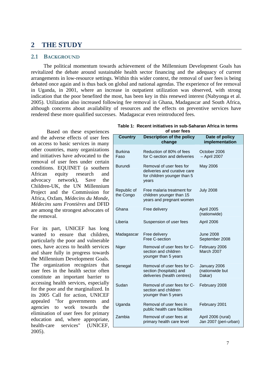### **2 THE STUDY**

#### **2.1 BACKGROUND**

The political momentum towards achievement of the Millennium Development Goals has revitalized the debate around sustainable health sector financing and the adequacy of current arrangements in low-resource settings. Within this wider context, the removal of user fees is being debated once again and is thus back on global and national agendas. The experience of fee removal in Uganda, in 2001, where an increase in outpatient utilization was observed, with strong indication that the poor benefited the most, has been key in this renewed interest (Nabyonga et al. 2005). Utilization also increased following fee removal in Ghana, Madagascar and South Africa, although concerns about availability of resources and the effects on preventive services have rendered these more qualified successes. Madagascar even reintroduced fees.

Based on these experiences and the adverse effects of user fees on access to basic services in many other countries, many organizations and initiatives have advocated to the removal of user fees under certain conditions. EQUINET (a southern African equity research and advocacy network), Save the Children-UK, the UN Millennium Project and the Commission for Africa, Oxfam, *Médecins du Monde*, *Médecins sans Frontières* and DFID are among the strongest advocates of the removal.

For its part, UNICEF has long wanted to ensure that children, particularly the poor and vulnerable ones, have access to health services and share fully in progress towards the Millennium Development Goals. The organization recognizes that user fees in the health sector often constitute an important barrier to accessing health services, especially for the poor and the marginalized. In its 2005 Call for action, UNICEF appealed "for governments and agencies to work towards the elimination of user fees for primary education and, where appropriate, health-care services" (UNICEF, 2005).

| Table 1: Recent initiatives in sub-Saharan Africa in terms |
|------------------------------------------------------------|
| of user fees                                               |

| <b>Country</b>           | <b>Description of the policy</b><br>change                                                       | Date of policy<br>implementation            |
|--------------------------|--------------------------------------------------------------------------------------------------|---------------------------------------------|
| <b>Burkina</b><br>Faso   | Reduction of 80% of fees<br>for C-section and deliveries                                         | October 2006<br>- April 2007                |
| <b>Burundi</b>           | Removal of user fees for<br>deliveries and curative care<br>for children younger than 5<br>years | May 2006                                    |
| Republic of<br>the Congo | Free malaria treatment for<br>children younger than 15<br>years and pregnant women               | <b>July 2008</b>                            |
| Ghana<br>Free delivery   |                                                                                                  | April 2005<br>(nationwide)                  |
| Liberia                  | Suspension of user fees                                                                          | April 2006                                  |
| Madagascar               | Free delivery<br>Free C-section                                                                  | <b>June 2008</b><br>September 2008          |
| Niger                    | Removal of user fees for C-<br>section and children<br>younger than 5 years                      | February 2006<br>March 2007                 |
| Senegal                  | Removal of user fees for C-<br>section (hospitals) and<br>deliveries (health centres)            | January 2006<br>(nationwide but<br>Dakar)   |
| Sudan                    | Removal of user fees for C-<br>section and children<br>younger than 5 years                      | February 2008                               |
| Uganda                   | Removal of user fees in<br>public health care facilities                                         | February 2001                               |
| Zambia                   | Removal of user fees at<br>primary health care level                                             | April 2006 (rural)<br>Jan 2007 (peri-urban) |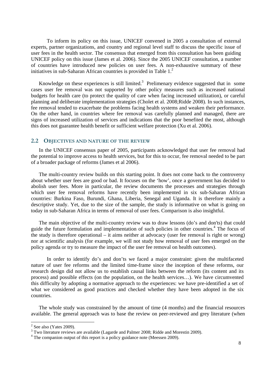To inform its policy on this issue, UNICEF convened in 2005 a consultation of external experts, partner organizations, and country and regional level staff to discuss the specific issue of user fees in the health sector. The consensus that emerged from this consultation has been guiding UNICEF policy on this issue (James et al. 2006). Since the 2005 UNICEF consultation, a number of countries have introduced new policies on user fees. A non-exhaustive summary of these initiatives in sub-Saharan African countries is provided in Table 1.<sup>2</sup>

Knowledge on these experiences is still limited.<sup>3</sup> Prelimenary evidence suggested that in some cases user fee removal was not supported by other policy measures such as increased national budgets for health care (to protect the quality of care when facing increased utilization), or careful planning and deliberate implementation strategies (Cholet et al. 2008;Ridde 2008). In such instances, fee removal tended to exacerbate the problems facing health systems and weaken their performance. On the other hand, in countries where fee removal was carefully planned and managed, there are signs of increased utilization of services and indications that the poor benefited the most, although this does not guarantee health benefit or sufficient welfare protection (Xu et al. 2006).

#### **2.2 OBJECTIVES AND NATURE OF THE REVIEW**

 In the UNICEF consensus paper of 2005, participants acknowledged that user fee removal had the potential to improve access to health services, but for this to occur, fee removal needed to be part of a broader package of reforms (James et al 2006).

 The multi-country review builds on this starting point. It does not come back to the controversy about whether user fees are good or bad. It focuses on the 'how', once a government has decided to abolish user fees. More in particular, the review documents the processes and strategies through which user fee removal reforms have recently been implemented in six sub-Saharan African countries: Burkina Faso, Burundi, Ghana, Liberia, Senegal and Uganda. It is therefore mainly a descriptive study. Yet, due to the size of the sample, the study is informative on what is going on today in sub-Saharan Africa in terms of removal of user fees. Comparison is also insightful.

 The main objective of the multi-country review was to draw lessons (do's and don'ts) that could guide the future formulation and implementation of such policies in other countries.<sup>4</sup> The focus of the study is therefore operational – it aims neither at advocacy (user fee removal is right or wrong) nor at scientific analysis (for example, we will not study how removal of user fees emerged on the policy agenda or try to measure the impact of the user fee removal on health outcomes).

In order to identify do's and don'ts we faced a major constraint: given the multifaceted nature of user fee reforms and the limited time-frame since the inception of these reforms, our research design did not allow us to establish causal links between the reform (its content and its process) and possible effects (on the population, on the health services…). We have circumvented this difficulty by adopting a normative approach to the experiences: we have pre-identified a set of what we considered as good practices and checked whether they have been adopted in the six countries.

 The whole study was constrained by the amount of time (4 months) and the financial resources available. The general approach was to base the review on peer-reviewed and grey literature (when

 $\frac{1}{2}$  See also (Yates 2009).

 $3$  Two literature reviews are available (Lagarde and Palmer 2008; Ridde and Morestin 2009).

<sup>&</sup>lt;sup>4</sup> The companion output of this report is a policy guidance note (Meessen 2009).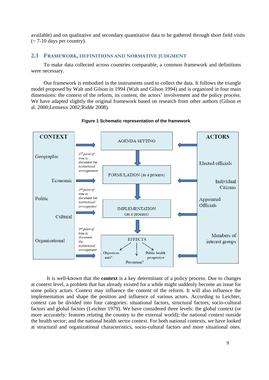available) and on qualitative and secondary quantitative data to be gathered through short field visits  $\approx$  7-10 days per country).

#### **2.3 FRAMEWORK, DEFINITIONS AND NORMATIVE JUDGMENT**

To make data collected across countries comparable, a common framework and definitions were necessary.

Our framework is embodied in the instruments used to collect the data. It follows the triangle model proposed by Walt and Gilson in 1994 (Walt and Gilson 1994) and is organized in four main dimensions: the context of the reform, its content, the actors' involvement and the policy process. We have adapted slightly the original framework based on research from other authors (Gilson et al. 2000;Lemieux 2002;Ridde 2008).



**Figure 1 Schematic representation of the framework** 

It is well-known that the **context** is a key determinant of a policy process. Due to changes at context level, a problem that has already existed for a while might suddenly become an issue for some policy actors. Context may influence the content of the reform. It will also influence the implementation and shape the position and influence of various actors. According to Leichter, context can be divided into four categories: situational factors, structural factors, socio-cultural factors and global factors (Leichter 1979). We have considered three levels: the global context (or more accurately: features relating the country to the external world); the national context outside the health sector; and the national health sector context. For both national contexts, we have looked at structural and organizational characteristics, socio-cultural factors and more situational ones.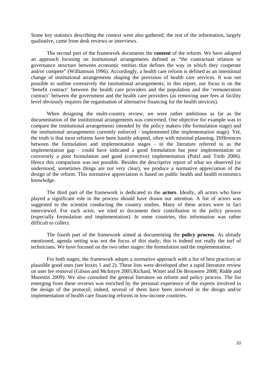Some key statistics describing the context were also gathered; the rest of the information, largely qualitative, came from desk reviews or interviews.

The second part of the framework documents the **content** of the reform. We have adopted an approach focusing on institutional arrangements defined as "the contractual relation or governance structure between economic entities that defines the way in which they cooperate and/or compete" (Williamson 1996). Accordingly, a health care reform is defined as an intentional change of institutional arrangements shaping the provision of health care services. It was not possible to outline extensively the institutional arrangements; in this report, our focus is on the 'benefit contract' between the health care providers and the population and the 'remuneration contract' between the government and the health care providers (as removing user fees at facility level obviously requires the organisation of alternative financing for the health services).

When designing the multi-country review, we were rather ambitious as far as the documentation of the institutional arrangements was concerned. One objective for example was to compare the institutional arrangements intended by the policy makers (the formulation stage) and the institutional arrangements currently enforced / implemented (the implementation stage). Yet, the truth is that most reforms have been hastily adopted, often with minimal planning. Differences between the formulation and implementation stages - in the literature referred to as the implementation gap - could have indicated a good formulation but poor implementation or conversely a poor formulation and good (corrective) implementation (Pulzl and Treib 2006). Hence this comparison was not possible. Besides the descriptive report of what we observed (or understood, sometimes things are not very clear), we produce a normative appreciation of the design of the reform. This normative appreciation is based on public health and health economics knowledge.

The third part of the framework is dedicated to the **actors**. Ideally, all actors who have played a significant role in the process should have drawn our attention. A list of actors was suggested to the scientist conducting the country studies. Many of these actors were in fact interviewed. For each actor, we tried to document their contribution to the policy process (especially formulation and implementation). In some countries, this information was rather difficult to collect.

The fourth part of the framework aimed at documenting the **policy process**. As already mentioned, agenda setting was not the focus of this study; this is indeed not really the turf of technicians. We have focused on the two other stages: the formulation and the implementation.

For both stages, the framework adopts a normative approach with a list of best practices or plausible good ones (see boxes 1 and 2). These lists were developed after a rapid literature review on user fee removal (Gilson and McIntyre 2005;Richard, Witter and De Brouwere 2008; Ridde and Morestin 2009). We also consulted the general literature on reform and policy process. The list emerging from these reviews was enriched by the personal experience of the experts involved in the design of the protocol; indeed, several of them have been involved in the design and/or implementation of health care financing reforms in low-income countries.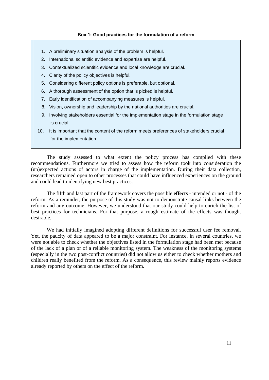#### **Box 1: Good practices for the formulation of a reform**

- 1. A preliminary situation analysis of the problem is helpful.
- 2. International scientific evidence and expertise are helpful.
- 3. Contextualized scientific evidence and local knowledge are crucial.
- 4. Clarity of the policy objectives is helpful.
- 5. Considering different policy options is preferable, but optional.
- 6. A thorough assessment of the option that is picked is helpful.
- 7. Early identification of accompanying measures is helpful.
- 8. Vision, ownership and leadership by the national authorities are crucial.
- 9. Involving stakeholders essential for the implementation stage in the formulation stage is crucial.
- 10. It is important that the content of the reform meets preferences of stakeholders crucial for the implementation.

The study assessed to what extent the policy process has complied with these recommendations. Furthermore we tried to assess how the reform took into consideration the (un)expected actions of actors in charge of the implementation. During their data collection, researchers remained open to other processes that could have influenced experiences on the ground and could lead to identifying new best practices.

The fifth and last part of the framework covers the possible **effects** - intended or not - of the reform. As a reminder, the purpose of this study was not to demonstrate causal links between the reform and any outcome. However, we understood that our study could help to enrich the list of best practices for technicians. For that purpose, a rough estimate of the effects was thought desirable.

We had initially imagined adopting different definitions for successful user fee removal. Yet, the paucity of data appeared to be a major constraint. For instance, in several countries, we were not able to check whether the objectives listed in the formulation stage had been met because of the lack of a plan or of a reliable monitoring system. The weakness of the monitoring systems (especially in the two post-conflict countries) did not allow us either to check whether mothers and children really benefited from the reform. As a consequence, this review mainly reports evidence already reported by others on the effect of the reform.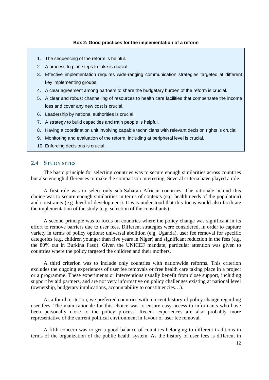#### **Box 2: Good practices for the implementation of a reform**

- 1. The sequencing of the reform is helpful.
- 2. A process to plan steps to take is crucial.
- 3. Effective implementation requires wide-ranging communication strategies targeted at different key implementing groups.
- 4. A clear agreement among partners to share the budgetary burden of the reform is crucial.
- 5. A clear and robust channelling of resources to health care facilities that compensate the income loss and cover any new cost is crucial.
- 6. Leadership by national authorities is crucial.
- 7. A strategy to build capacities and train people is helpful.
- 8. Having a coordination unit involving capable technicians with relevant decision rights is crucial.
- 9. Monitoring and evaluation of the reform, including at peripheral level is crucial.
- 10. Enforcing decisions is crucial.

#### **2.4 STUDY SITES**

The basic principle for selecting countries was to secure enough similarities across countries but also enough differences to make the comparison interesting. Several criteria have played a role.

A first rule was to select only sub-Saharan African countries. The rationale behind this choice was to secure enough similarities in terms of contexts (e.g. health needs of the population) and constraints (e.g. level of development). It was understood that this focus would also facilitate the implementation of the study (e.g. selection of the consultants).

A second principle was to focus on countries where the policy change was significant in its effort to remove barriers due to user fees. Different strategies were considered, in order to capture variety in terms of policy options: universal abolition (e.g. Uganda), user fee removal for specific categories (e.g. children younger than five years in Niger) and significant reduction in the fees (e.g. the 80% cut in Burkina Faso). Given the UNICEF mandate, particular attention was given to countries where the policy targeted the children and their mothers.

A third criterion was to include only countries with nationwide reforms. This criterion excludes the ongoing experiences of user fee removals or free health care taking place in a project or a programme. These experiments or interventions usually benefit from close support, including support by aid partners, and are not very informative on policy challenges existing at national level (ownership, budgetary implications, accountability to constituencies…).

As a fourth criterion, we preferred countries with a recent history of policy change regarding user fees. The main rationale for this choice was to ensure easy access to informants who have been personally close to the policy process. Recent experiences are also probably more representative of the current political environment in favour of user fee removal.

A fifth concern was to get a good balance of countries belonging to different traditions in terms of the organization of the public health system. As the history of user fees is different in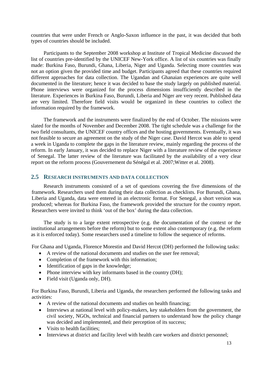countries that were under French or Anglo-Saxon influence in the past, it was decided that both types of countries should be included.

Participants to the September 2008 workshop at Institute of Tropical Medicine discussed the list of countries pre-identified by the UNICEF New-York office. A list of six countries was finally made: Burkina Faso, Burundi, Ghana, Liberia, Niger and Uganda. Selecting more countries was not an option given the provided time and budget. Participants agreed that these countries required different approaches for data collection. The Ugandan and Ghanaian experiences are quite well documented in the literature; hence it was decided to base the study largely on published material. Phone interviews were organized for the process dimensions insufficiently described in the literature. Experiences in Burkina Faso, Burundi, Liberia and Niger are very recent. Published data are very limited. Therefore field visits would be organized in these countries to collect the information required by the framework.

The framework and the instruments were finalized by the end of October. The missions were slated for the months of November and December 2008. The tight schedule was a challenge for the two field consultants, the UNICEF country offices and the hosting governments. Eventually, it was not feasible to secure an agreement on the study of the Niger case. David Hercot was able to spend a week in Uganda to complete the gaps in the literature review, mainly regarding the process of the reform. In early January, it was decided to replace Niger with a literature review of the experience of Senegal. The latter review of the literature was facilitated by the availability of a very clear report on the reform process (Gouvernement du Sénégal et al. 2007;Witter et al. 2008).

#### **2.5 RESEARCH INSTRUMENTS AND DATA COLLECTION**

Research instruments consisted of a set of questions covering the five dimensions of the framework. Researchers used them during their data collection as checklists. For Burundi, Ghana, Liberia and Uganda, data were entered in an electronic format. For Senegal, a short version was produced; whereas for Burkina Faso, the framework provided the structure for the country report. Researchers were invited to think 'out of the box' during the data collection.

The study is to a large extent retrospective (e.g. the documentation of the context or the institutional arrangements before the reform) but to some extent also contemporary (e.g. the reform as it is enforced today). Some researchers used a timeline to follow the sequence of reforms.

For Ghana and Uganda, Florence Morestin and David Hercot (DH) performed the following tasks:

- A review of the national documents and studies on the user fee removal:
- Completion of the framework with this information:
- Identification of gaps in the knowledge:
- Phone interview with key informants based in the country (DH);
- Field visit (Uganda only, DH).

For Burkina Faso, Burundi, Liberia and Uganda, the researchers performed the following tasks and activities:

- A review of the national documents and studies on health financing;
- Interviews at national level with policy-makers, key stakeholders from the government, the civil society, NGOs, technical and financial partners to understand how the policy change was decided and implemented, and their perception of its success;
- Visits to health facilities;
- Interviews at district and facility level with health care workers and district personnel;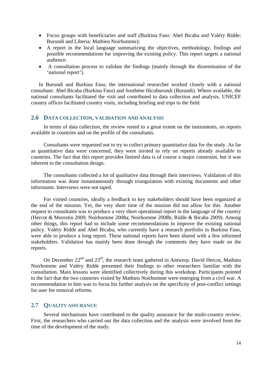- Focus groups with beneficiaries and staff (Burkina Faso: Abel Bicaba and Valéry Ridde; Burundi and Liberia: Mathieu Noirhomme);
- A report in the local language summarizing the objectives, methodology, findings and possible recommendations for improving the existing policy. This report targets a national audience.
- A consultation process to validate the findings (mainly through the dissemination of the 'national report').

In Burundi and Burkina Faso, the international researcher worked closely with a national consultant: Abel Bicaba (Burkina Faso) and Sosthène Hicuburundi (Burundi). Where available, the national consultants facilitated the visit and contributed to data collection and analysis. UNICEF country offices facilitated country visits, including briefing and trips to the field.

#### **2.6 DATA COLLECTION, VALIDATION AND ANALYSIS**

In terms of data collection, the review rested to a great extent on the instruments, on reports available in countries and on the profile of the consultants.

Consultants were requested not to try to collect primary quantitative data for the study. As far as quantitative data were concerned, they were invited to rely on reports already available in countries. The fact that this report provides limited data is of course a major constraint, but it was inherent to the consultation design.

The consultants collected a lot of qualitative data through their interviews. Validation of this information was done instantaneously through triangulation with existing documents and other informants. Interviews were not taped.

For visited countries, ideally a feedback to key stakeholders should have been organized at the end of the mission. Yet, the very short time of the mission did not allow for this. Another request to consultants was to produce a very short operational report in the language of the country (Hercot & Morestin 2009; Noirhomme 2008a; Noirhomme 2008b; Ridde & Bicaba 2009). Among other things, this report had to include some recommendations to improve the existing national policy. Valéry Ridde and Abel Bicaba, who currently have a research portfolio in Burkina Faso, were able to produce a long report. These national reports have been shared with a few informed stakeholders. Validation has mainly been done through the comments they have made on the reports.

On December  $22<sup>nd</sup>$  and  $23<sup>rd</sup>$ , the research team gathered in Antwerp. David Hercot, Mathieu Noirhomme and Valéry Ridde presented their findings to other researchers familiar with the consultation. Main lessons were identified collectively during this workshop. Participants pointed to the fact that the two countries visited by Mathieu Noirhomme were emerging from a civil war. A recommendation to him was to focus his further analysis on the specificity of post-conflict settings for user fee removal reforms.

#### **2.7 QUALITY ASSURANCE**

Several mechanisms have contributed to the quality assurance for the multi-country review. First, the researchers who carried out the data collection and the analysis were involved from the time of the development of the study.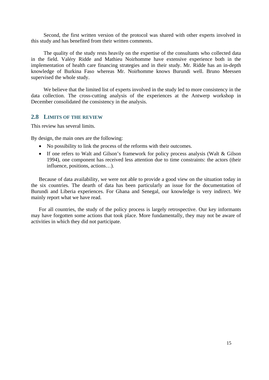Second, the first written version of the protocol was shared with other experts involved in this study and has benefited from their written comments.

The quality of the study rests heavily on the expertise of the consultants who collected data in the field. Valéry Ridde and Mathieu Noirhomme have extensive experience both in the implementation of health care financing strategies and in their study. Mr. Ridde has an in-depth knowledge of Burkina Faso whereas Mr. Noirhomme knows Burundi well. Bruno Meessen supervised the whole study.

We believe that the limited list of experts involved in the study led to more consistency in the data collection. The cross-cutting analysis of the experiences at the Antwerp workshop in December consolidated the consistency in the analysis.

#### **2.8 LIMITS OF THE REVIEW**

This review has several limits.

By design, the main ones are the following:

- No possibility to link the process of the reforms with their outcomes.
- If one refers to Walt and Gilson's framework for policy process analysis (Walt & Gilson 1994), one component has received less attention due to time constraints: the actors (their influence, positions, actions…).

Because of data availability, we were not able to provide a good view on the situation today in the six countries. The dearth of data has been particularly an issue for the documentation of Burundi and Liberia experiences. For Ghana and Senegal, our knowledge is very indirect. We mainly report what we have read.

For all countries, the study of the policy process is largely retrospective. Our key informants may have forgotten some actions that took place. More fundamentally, they may not be aware of activities in which they did not participate.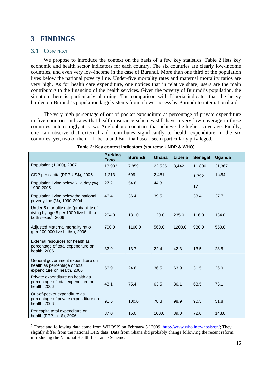#### **3 FINDINGS**

#### **3.1 CONTEXT**

We propose to introduce the context on the basis of a few key statistics. Table 2 lists key economic and health sector indicators for each country. The six countries are clearly low-income countries, and even very low-income in the case of Burundi. More than one third of the population lives below the national poverty line. Under-five mortality rates and maternal mortality ratios are very high. As for health care expenditure, one notices that in relative share, users are the main contributors to the financing of the health services. Given the poverty of Burundi's population, the situation there is particularly alarming. The comparison with Liberia indicates that the heavy burden on Burundi's population largely stems from a lower access by Burundi to international aid.

The very high percentage of out-of-pocket expenditure as percentage of private expenditure in five countries indicates that health insurance schemes still have a very low coverage in these countries; interestingly it is two Anglophone countries that achieve the highest coverage. Finally, one can observe that external aid contributes significantly to health expenditure in the six countries; yet, two of them – Liberia and Burkina Faso – seem particularly privileged.

|                                                                                                                  | <b>Burkina</b><br><b>Faso</b> | <b>Burundi</b> | Ghana  | Liberia | <b>Senegal</b> | <b>Uganda</b> |
|------------------------------------------------------------------------------------------------------------------|-------------------------------|----------------|--------|---------|----------------|---------------|
| Population (1,000), 2007                                                                                         | 13,933                        | 7,859          | 22,535 | 3,442   | 11,800         | 31,367        |
| GDP per capita (PPP US\$), 2005                                                                                  | 1,213                         | 699            | 2,481  | Ω,      | 1,792          | 1,454         |
| Population living below \$1 a day (%),<br>1990-2005                                                              | 27.2                          | 54.6           | 44.8   | Ω.      | 17             | н.            |
| Population living below the national<br>poverty line (%), 1990-2004                                              | 46.4                          | 36.4           | 39.5   | ä.      | 33.4           | 37.7          |
| Under-5 mortality rate (probability of<br>dying by age 5 per 1000 live births)<br>both sexes <sup>5</sup> , 2006 | 204.0                         | 181.0          | 120.0  | 235.0   | 116.0          | 134.0         |
| Adjusted Maternal mortality ratio<br>(per 100 000 live births), 2006                                             | 700.0                         | 1100.0         | 560.0  | 1200.0  | 980.0          | 550.0         |
| External resources for health as<br>percentage of total expenditure on<br>health, 2006                           | 32.9                          | 13.7           | 22.4   | 42.3    | 13.5           | 28.5          |
| General government expenditure on<br>health as percentage of total<br>expenditure on health, 2006                | 56.9                          | 24.6           | 36.5   | 63.9    | 31.5           | 26.9          |
| Private expenditure on health as<br>percentage of total expenditure on<br>health, 2006                           | 43.1                          | 75.4           | 63.5   | 36.1    | 68.5           | 73.1          |
| Out-of-pocket expenditure as<br>percentage of private expenditure on<br>health, 2006                             | 91.5                          | 100.0          | 78.8   | 98.9    | 90.3           | 51.8          |
| Per capita total expenditure on<br>health (PPP int. \$), 2006                                                    | 87.0                          | 15.0           | 100.0  | 39.0    | 72.0           | 143.0         |

| Table 2: Key context indicators (sources: UNDP & WHO) |  |  |  |  |  |  |
|-------------------------------------------------------|--|--|--|--|--|--|
|-------------------------------------------------------|--|--|--|--|--|--|

 $\frac{5}{100}$  These and following data come from WHOSIS on February 5<sup>th</sup> 2009. http://www.who.int/whosis/en/; They slightly differ from the national DHS data. Data from Ghana did probably change following the recent reform introducing the National Health Insurance Scheme.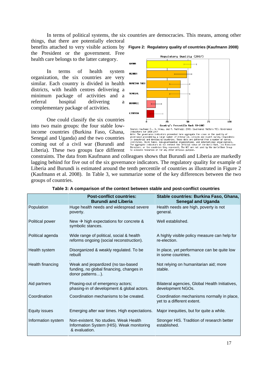In terms of political systems, the six countries are democracies. This means, among other

things, that there are potentially electoral the President or the government. Free health care belongs to the latter category.

In terms of health system organization, the six countries are very similar. Each country is divided in health districts, with health centres delivering a minimum package of activities and a referral hospital delivering a complementary package of activities.

One could classify the six countries into two main groups: the four stable lowincome countries (Burkina Faso, Ghana, Senegal and Uganda) and the two countries coming out of a civil war (Burundi and Liberia). These two groups face different



# Source: Kaufmann D., A. Kraay, and M. Mastruzzi 2008: Governance Matters VII: Governance<br>Indicators for 1996-2007<br>Interactions of M. Mastruzzi 2008: Governance Matters VII: Governance<br>Indicators for 1996-2007<br>governance pr its Executive

constraints. The data from Kaufmann and colleagues shows that Burundi and Liberia are markedly lagging behind for five out of the six governance indicators. The regulatory quality for example of Liberia and Burundi is estimated around the tenth percentile of countries as illustrated in Figure 2 (Kaufmann et al. 2008). In Table 3, we summarize some of the key differences between the two groups of countries.

|                      | <b>Post-conflict countries:</b><br><b>Burundi and Liberia</b>                                       | Stable countries: Burkina Faso, Ghana,<br><b>Senegal and Uganda</b>      |
|----------------------|-----------------------------------------------------------------------------------------------------|--------------------------------------------------------------------------|
| Population           | Huge health needs and widespread severe<br>poverty.                                                 | Health needs are high, poverty is not<br>general.                        |
| Political power      | New $\rightarrow$ high expectations for concrete &<br>symbolic stances.                             | Well established.                                                        |
| Political agenda     | Wide range of political, social & health<br>reforms ongoing (social reconstruction).                | A highly visible policy measure can help for<br>re-election.             |
| Health system        | Disorganized & weakly regulated. To be<br>rebuilt                                                   | In place, yet performance can be quite low<br>in some countries.         |
| Health financing     | Weak and jeopardized (no tax-based<br>funding, no global financing, changes in<br>donor patterns).  | Not relying on humanitarian aid; more<br>stable.                         |
| Aid partners         | Phasing-out of emergency actors;<br>phasing-in of development & global actors.                      | Bilateral agencies, Global Health Initiatives,<br>development NGOs.      |
| Coordination         | Coordination mechanisms to be created.                                                              | Coordination mechanisms normally in place,<br>yet to a different extent. |
| <b>Equity issues</b> | Emerging after war times. High expectations.                                                        | Major inequities, but for quite a while.                                 |
| Information system   | Non-existent. No studies. Weak Health<br>Information System (HIS). Weak monitoring<br>& evaluation. | Stronger HIS. Tradition of research better<br>established.               |

| Table 3: A comparison of the context between stable and post-conflict countries |  |
|---------------------------------------------------------------------------------|--|
|---------------------------------------------------------------------------------|--|

#### benefits attached to very visible actions by **Figure 2: Regulatory quality of countries (Kaufmann 2008)**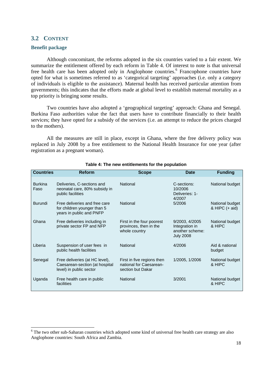#### **3.2 CONTENT**

#### **Benefit package**

Although concomitant, the reforms adopted in the six countries varied to a fair extent. We summarize the entitlement offered by each reform in Table 4. Of interest to note is that universal free health care has been adopted only in Anglophone countries.<sup>6</sup> Francophone countries have opted for what is sometimes referred to as 'categorical targeting' approaches (i.e. only a category of individuals is eligible to the assistance). Maternal health has received particular attention from governments; this indicates that the efforts made at global level to establish maternal mortality as a top priority is bringing some results.

Two countries have also adopted a 'geographical targeting' approach: Ghana and Senegal. Burkina Faso authorities value the fact that users have to contribute financially to their health services; they have opted for a subsidy of the services (i.e. an attempt to reduce the prices charged to the mothers).

All the measures are still in place, except in Ghana, where the free delivery policy was replaced in July 2008 by a free entitlement to the National Health Insurance for one year (after registration as a pregnant woman).

| <b>Countries</b>       | <b>Reform</b>                                                                               | <b>Scope</b>                                                               | <b>Date</b>                                                             | <b>Funding</b>                      |
|------------------------|---------------------------------------------------------------------------------------------|----------------------------------------------------------------------------|-------------------------------------------------------------------------|-------------------------------------|
| <b>Burkina</b><br>Faso | Deliveries, C-sections and<br>neonatal care, 80% subsidy in<br>public facilities            | <b>National</b><br>C-sections:<br>10/2006<br>Deliveries: 1-<br>4/2007      |                                                                         | National budget                     |
| <b>Burundi</b>         | Free deliveries and free care<br>for children younger than 5<br>years in public and PNFP    | National                                                                   | 5/2006                                                                  | National budget<br>& HIPC $(+$ aid) |
| Ghana                  | Free deliveries including in<br>private sector FP and NFP                                   | First in the four poorest<br>provinces, then in the<br>whole country       | 9/2003, 4/2005<br>Integration in<br>another scheme:<br><b>July 2008</b> | National budget<br>& HIPC           |
| Liberia                | Suspension of user fees in<br>public health facilities                                      | National                                                                   | 4/2006                                                                  | Aid & national<br>budget            |
| Senegal                | Free deliveries (at HC level),<br>Caesarean-section (at hospital<br>level) in public sector | First in five regions then<br>national for Caesarean-<br>section but Dakar | 1/2005, 1/2006                                                          | National budget<br>& HIPC           |
| Uganda                 | Free health care in public<br>facilities                                                    | National                                                                   | 3/2001                                                                  | National budget<br>& HIPC           |

#### **Table 4: The new entitlements for the population**

The two other sub-Saharan countries which adopted some kind of universal free health care strategy are also Anglophone countries: South Africa and Zambia.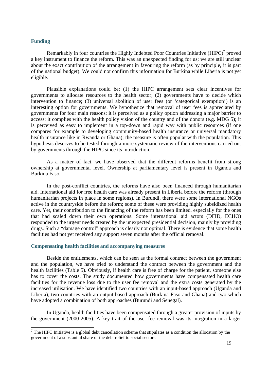#### **Funding**

Remarkably in four countries the Highly Indebted Poor Countries Initiative  $(HIPC)^7$  proved a key instrument to finance the reform. This was an unexpected finding for us; we are still unclear about the exact contribution of the arrangement in favouring the reform (as by principle, it is part of the national budget). We could not confirm this information for Burkina while Liberia is not yet eligible.

Plausible explanations could be: (1) the HIPC arrangement sets clear incentives for governments to allocate resources to the health sector; (2) governments have to decide which intervention to finance; (3) universal abolition of user fees (or 'categorical exemption') is an interesting option for governments. We hypothesize that removal of user fees is appreciated by governments for four main reasons: it is perceived as a policy option addressing a major barrier to access; it complies with the health policy vision of the country and of the donors (e.g. MDG 5); it is perceived as easy to implement in a top-down and rapid way with public resources (if one compares for example to developing community-based health insurance or universal mandatory health insurance like in Rwanda or Ghana); the measure is often popular with the population. This hypothesis deserves to be tested through a more systematic review of the interventions carried out by governments through the HIPC since its introduction.

As a matter of fact, we have observed that the different reforms benefit from strong ownership at governmental level. Ownership at parliamentary level is present in Uganda and Burkina Faso.

In the post-conflict countries, the reforms have also been financed through humanitarian aid. International aid for free health care was already present in Liberia before the reform (through humanitarian projects in place in some regions). In Burundi, there were some international NGOs active in the countryside before the reform; some of these were providing highly subsidized health care. Yet, their contribution to the financing of the reform has been limited, especially for the ones that had scaled down their own operations. Some international aid actors (DFID, ECHO) responded to the urgent needs created by the unexpected presidential decision, mainly by providing drugs. Such a "damage control" approach is clearly not optimal. There is evidence that some health facilities had not yet received any support seven months after the official removal.

#### **Compensating health facilities and accompanying measures**

Beside the entitlements, which can be seen as the formal contract between the government and the population, we have tried to understand the contract between the government and the health facilities (Table 5). Obviously, if health care is free of charge for the patient, someone else has to cover the costs. The study documented how governments have compensated health care facilities for the revenue loss due to the user fee removal and the extra costs generated by the increased utilisation. We have identified two countries with an input-based approach (Uganda and Liberia), two countries with an output-based approach (Burkina Faso and Ghana) and two which have adopted a combination of both approaches (Burundi and Senegal).

In Uganda, health facilities have been compensated through a greater provision of inputs by the government (2000-2005). A key trait of the user fee removal was its integration in a larger

The HIPC Initiative is a global debt cancellation scheme that stipulates as a condition the allocation by the government of a substantial share of the debt relief to social sectors.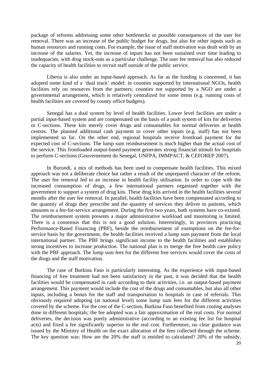package of reforms addressing some other bottlenecks or possible consequences of the user fee removal. There was an increase of the public budget for drugs, but also for other inputs such as human resources and running costs. For example, the issue of staff motivation was dealt with by an increase of the salaries. Yet, the increase of inputs has not been sustained over time leading to inadequacies, with drug stock-outs as a particular challenge. The user fee removal has also reduced the capacity of health facilities to recruit staff outside of the public service.

Liberia is also under an input-based approach. As far as the funding is concerned, it has adopted some kind of a 'dual track' model: in counties supported by international NGOs, health facilities rely on resources from the partners; counties not supported by a NGO are under a governmental arrangement, which is relatively centralized for some items (e.g. running costs of health facilities are covered by county office budgets).

Senegal has a dual system by level of health facilities. Lower level facilities are under a partial input-based system and are compensated on the basis of a push system of kits for deliveries or C-sections. These kits merely cover drugs and consumables for normal deliveries at health centres. The planned additional cash payment to cover other inputs (e.g. staff) has not been implemented so far. On the other end, regional hospitals receive frontload payment for the expected cost of C-sections. The lump sum reimbursement is much higher than the actual cost of the service. This frontloaded output-based payment generates strong financial stimuli for hospitals to perform C-sections (Gouvernement du Senegal, UNFPA, IMMPACT, & CEFOREP 2007).

In Burundi, a mix of methods has been used to compensate health facilities. This mixed approach was not a deliberate choice but rather a result of the unprepared character of the reform. The user fee removal led to an increase in health facility utilisation. In order to cope with the increased consumption of drugs, a few international partners organised together with the government to support a system of drug kits. These drug kits arrived in the health facilities several months after the user fee removal. In parallel, health facilities have been compensated according to the quantity of drugs they prescribe and the quantity of services they deliver to patients, which amounts to a fee-for-service arrangement. During the first two years, both systems have co-existed. The reimbursement system presents a major administrative workload and monitoring is limited. There is a consensus that this is not a good solution. Interestingly, in provinces practicing Performance-Based Financing (PBF), beside the reimbursement of exemptions on the fee-forservice basis by the government, the health facilities received a lump sum payment from the local international partner. The PBF brings significant income to the health facilities and establishes strong incentives to increase production. The national plan is to merge the free health care policy with the PBF approach. The lump sum fees for the different free services would cover the costs of the drugs and the staff motivation.

The case of Burkina Faso is particularly interesting. As the experience with input-based financing of free treatment had not been satisfactory in the past, it was decided that the health facilities would be compensated in cash according to their activities, i.e. an output-based payment arrangement. This payment would include the cost of the drugs and consumables, but also all other inputs, including a bonus for the staff and transportation to hospitals in case of referrals. This obviously required adopting (at national level) some lump sum fees for the different activities covered by the scheme. For the cost of the C-section, Burkina Faso benefited from costing analyses done in different hospitals; the fee adopted was a fair approximation of the real costs. For normal deliveries, the decision was purely administrative (according to an existing fee list for hospital acts) and fixed a fee significantly superior to the real cost. Furthermore, no clear guidance was issued by the Ministry of Health on the exact allocation of the fees collected through the scheme. The key question was: How are the 20% the staff is entitled to calculated? 20% of the subsidy,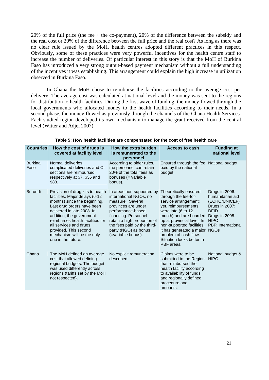20% of the full price (the fee + the co-payment), 20% of the difference between the subsidy and the real cost or 20% of the difference between the full price and the real cost? As long as there was no clear rule issued by the MoH, health centres adopted different practices in this respect. Obviously, some of these practices were very powerful incentives for the health centre staff to increase the number of deliveries. Of particular interest in this story is that the MoH of Burkina Faso has introduced a very strong output-based payment mechanism without a full understanding of the incentives it was establishing. This arrangement could explain the high increase in utilization observed in Burkina Faso.

In Ghana the MoH chose to reimburse the facilities according to the average cost per delivery. The average cost was calculated at national level and the money was sent to the regions for distribution to health facilities. During the first wave of funding, the money flowed through the local governments who allocated money to the health facilities according to their needs. In a second phase, the money flowed as previously through the channels of the Ghana Health Services. Each studied region developed its own mechanism to manage the grant received from the central level (Witter and Adjei 2007).

| <b>Countries</b>       | How the cost of drugs is<br>covered at facility level                                                                                                                                                                                                                                                                                 | How the extra burden<br>is remunerated to the<br>personnel                                                                                                                                                                                              | <b>Access to cash</b>                                                                                                                                                                                                                                                                                        | <b>Funding at</b><br>national level                                                                                                                |
|------------------------|---------------------------------------------------------------------------------------------------------------------------------------------------------------------------------------------------------------------------------------------------------------------------------------------------------------------------------------|---------------------------------------------------------------------------------------------------------------------------------------------------------------------------------------------------------------------------------------------------------|--------------------------------------------------------------------------------------------------------------------------------------------------------------------------------------------------------------------------------------------------------------------------------------------------------------|----------------------------------------------------------------------------------------------------------------------------------------------------|
| <b>Burkina</b><br>Faso | Normal deliveries,<br>complicated deliveries and C-<br>sections are reimbursed<br>respectively at \$7, \$36 and<br>\$88.                                                                                                                                                                                                              | According to older rules,<br>the personnel can retain<br>20% of the total fees as<br>bonuses (= variable<br>bonus).                                                                                                                                     | Ensured through the fee National budget<br>paid by the national<br>budget.                                                                                                                                                                                                                                   |                                                                                                                                                    |
| <b>Burundi</b>         | Provision of drug kits to health<br>facilities. Major delays (6-12<br>months) since the beginning.<br>Last drug orders have been<br>delivered in late 2008. In<br>addition, the government<br>reimburses health facilities for<br>all services and drugs<br>provided. This second<br>mechanism will be the only<br>one in the future. | In areas non-supported by<br>international NGOs, no<br>measure. Several<br>provinces are under<br>performance-based<br>financing. Personnel<br>retain a high proportion of<br>the fees paid by the third-<br>party (NGO) as bonus<br>(=variable bonus). | Theoretically ensured<br>through the fee-for-<br>service arrangement;<br>yet, reimbursements<br>were late (6 to 12<br>month) and are hoarded<br>up at provincial level. In<br>non-supported facilities,<br>it has generated a major NGOs<br>problem of cash flow.<br>Situation looks better in<br>PBF areas. | Drugs in 2006:<br>humanitarian aid<br>(ECHO/UNICEF)<br>Drugs in 2007:<br><b>DFID</b><br>Drugs in 2008:<br><b>HIPC</b><br><b>PBF: International</b> |
| Ghana                  | The MoH defined an average<br>cost that allowed defining<br>regional budgets. The budget<br>was used differently across<br>regions (tariffs set by the MoH<br>not respected).                                                                                                                                                         | No explicit remuneration<br>described.                                                                                                                                                                                                                  | Claims were to be<br>submitted to the Region<br>that reimbursed the<br>health facility according<br>to availability of funds<br>and regionally defined<br>procedure and<br>amounts.                                                                                                                          | National budget &<br><b>HIPC</b>                                                                                                                   |

#### **Table 5: How health facilities are compensated for the cost of free health care**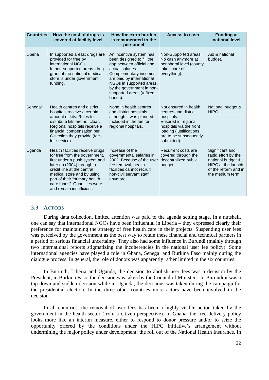| <b>Countries</b> | How the cost of drugs is<br>covered at facility level                                                                                                                                                                                                                                   | How the extra burden<br>is remunerated to the<br>personnel                                                                                                                                                                                                 | <b>Access to cash</b>                                                                                                                                                            | <b>Funding at</b><br>national level                                                                                          |
|------------------|-----------------------------------------------------------------------------------------------------------------------------------------------------------------------------------------------------------------------------------------------------------------------------------------|------------------------------------------------------------------------------------------------------------------------------------------------------------------------------------------------------------------------------------------------------------|----------------------------------------------------------------------------------------------------------------------------------------------------------------------------------|------------------------------------------------------------------------------------------------------------------------------|
| Liberia          | In supported areas: drugs are<br>provided for free by<br>international NGOs<br>In non-supported areas: drug<br>grant at the national medical<br>store is under government<br>funding.                                                                                                   | An incentive system has<br>been designed to fill the<br>gap between official and<br>actual salaries.<br>Complementary incomes<br>are paid by international<br>NGOs in supported areas,<br>by the government in non-<br>supported areas (= fixed<br>bonus). | Non-Supported areas:<br>No cash anymore at<br>peripheral level (county<br>takes care of<br>everything).                                                                          | Aid & national<br>budget.                                                                                                    |
| Senegal          | Health centres and district<br>hospitals receive a certain<br>amount of kits. Rules to<br>distribute kits are not clear.<br>Regional hospitals receive a<br>financial compensation per<br>C-section they provide (fee-<br>for-service).                                                 | None in health centres<br>and district hospitals<br>although it was planned.<br>Included in the fee for<br>regional hospitals.                                                                                                                             | Not ensured in health<br>centres and district<br>hospitals.<br>Ensured in regional<br>hospitals via the front<br>loading (justifications<br>are to be subsequently<br>submitted) | National budget &<br><b>HIPC</b>                                                                                             |
| Uganda           | Health facilities receive drugs<br>for free from the government,<br>first under a push system and<br>later on (2004) through a<br>credit line at the central<br>medical store and by using<br>part of their "primary health<br>care funds". Quantities were<br>and remain insufficient. | Increase of the<br>governmental salaries in<br>2002. Because of the user<br>fee removal, health<br>facilities cannot recruit<br>non-civil servant staff<br>anymore.                                                                                        | Recurrent costs are<br>covered through the<br>decentralized public<br>budget.                                                                                                    | Significant and<br>rapid effort by the<br>national budget &<br>HIPC at the launch<br>of the reform and in<br>the medium term |

#### **3.3 ACTORS**

During data collection, limited attention was paid to the agenda setting stage. In a nutshell, one can say that international NGOs have been influential in Liberia – they expressed clearly their preference for maintaining the strategy of free health care in their projects. Suspending user fees was perceived by the government as the best way to retain these financial and technical partners in a period of serious financial uncertainty. They also had some influence in Burundi (mainly through two international reports stigmatizing the incoherencies in the national user fee policy). Some international agencies have played a role in Ghana, Senegal and Burkina Faso mainly during the dialogue process. In general, the role of donors was apparently rather limited in the six countries.

In Burundi, Liberia and Uganda, the decision to abolish user fees was a decision by the President; in Burkina Faso, the decision was taken by the Council of Ministers. In Burundi it was a top-down and sudden decision while in Uganda, the decisions was taken during the campaign for the presidential election. In the three other countries more actors have been involved in the decision.

In all countries, the removal of user fees has been a highly visible action taken by the government in the health sector (from a citizen perspective). In Ghana, the free delivery policy looks more like an interim measure, either to respond to donor pressure and/or to seize the opportunity offered by the conditions under the HIPC Initiative's arrangement without undermining the major policy under development: the roll out of the National Health Insurance. In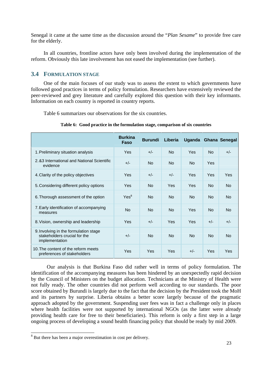Senegal it came at the same time as the discussion around the "*Plan Sesame*" to provide free care for the elderly.

In all countries, frontline actors have only been involved during the implementation of the reform. Obviously this late involvement has not eased the implementation (see further).

#### **3.4 FORMULATION STAGE**

One of the main focuses of our study was to assess the extent to which governments have followed good practices in terms of policy formulation. Researchers have extensively reviewed the peer-reviewed and grey literature and carefully explored this question with their key informants. Information on each country is reported in country reports.

Table 6 summarizes our observations for the six countries.

|                                                                                         | <b>Burkina</b><br>Faso | <b>Burundi</b> | Liberia    |           |           | Uganda Ghana Senegal |
|-----------------------------------------------------------------------------------------|------------------------|----------------|------------|-----------|-----------|----------------------|
| 1. Preliminary situation analysis                                                       | Yes                    | $+/-$          | <b>No</b>  | Yes       | <b>No</b> | $+/-$                |
| 2.83 International and National Scientific<br>evidence                                  | $+/-$                  | <b>No</b>      | <b>No</b>  | <b>No</b> | Yes       |                      |
| 4. Clarity of the policy objectives                                                     | Yes                    | $+/-$          | $+/-$      | Yes       | Yes       | Yes                  |
| 5. Considering different policy options                                                 | Yes                    | <b>No</b>      | <b>Yes</b> | Yes       | <b>No</b> | <b>No</b>            |
| 6. Thorough assessment of the option                                                    | Yes <sup>8</sup>       | <b>No</b>      | <b>No</b>  | <b>No</b> | <b>No</b> | <b>No</b>            |
| 7. Early identification of accompanying<br>measures                                     | <b>No</b>              | <b>No</b>      | <b>No</b>  | Yes       | <b>No</b> | <b>No</b>            |
| 8. Vision, ownership and leadership                                                     | Yes                    | $+/-$          | Yes        | Yes       | $+/-$     | $+/-$                |
| 9. Involving in the formulation stage<br>stakeholders crucial for the<br>implementation | $+/-$                  | <b>No</b>      | <b>No</b>  | <b>No</b> | <b>No</b> | <b>No</b>            |
| 10. The content of the reform meets<br>preferences of stakeholders                      | Yes                    | Yes            | Yes        | $+/-$     | Yes       | Yes                  |

**Table 6: Good practice in the formulation stage, comparison of six countries** 

Our analysis is that Burkina Faso did rather well in terms of policy formulation. The identification of the accompanying measures has been hindered by an unexpectedly rapid decision by the Council of Ministers on the budget allocation. Technicians at the Ministry of Health were not fully ready. The other countries did not perform well according to our standards. The poor score obtained by Burundi is largely due to the fact that the decision by the President took the MoH and its partners by surprise. Liberia obtains a better score largely because of the pragmatic approach adopted by the government. Suspending user fees was in fact a challenge only in places where health facilities were not supported by international NGOs (as the latter were already providing health care for free to their beneficiaries). This reform is only a first step in a large ongoing process of developing a sound health financing policy that should be ready by mid 2009.

1

<sup>&</sup>lt;sup>8</sup> But there has been a major overestimation in cost per delivery.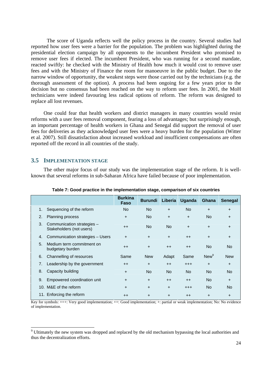The score of Uganda reflects well the policy process in the country. Several studies had reported how user fees were a barrier for the population. The problem was highlighted during the presidential election campaign by all opponents to the incumbent President who promised to remove user fees if elected. The incumbent President, who was running for a second mandate, reacted swiftly: he checked with the Ministry of Health how much it would cost to remove user fees and with the Ministry of Finance the room for manoeuvre in the public budget. Due to the narrow window of opportunity, the weakest steps were those carried out by the technicians (e.g. the thorough assessment of the option). A process had been ongoing for a few years prior to the decision but no consensus had been reached on the way to reform user fees. In 2001, the MoH technicians were indeed favouring less radical options of reform. The reform was designed to replace all lost revenues.

One could fear that health workers and district managers in many countries would resist reforms with a user fees removal component, fearing a loss of advantages; but surprisingly enough, an important percentage of health workers in Ghana and Senegal did support the removal of user fees for deliveries as they acknowledged user fees were a heavy burden for the population (Witter et al. 2007). Still dissatisfaction about increased workload and insufficient compensations are often reported off the record in all countries of the study.

#### **3.5 IMPLEMENTATION STAGE**

The other major focus of our study was the implementation stage of the reform. It is wellknown that several reforms in sub-Saharan Africa have failed because of poor implementation.

|    |                                                        | <b>Burkina</b><br>Faso | <b>Burundi</b> | Liberia   | Uganda    | Ghana            | <b>Senegal</b> |
|----|--------------------------------------------------------|------------------------|----------------|-----------|-----------|------------------|----------------|
| 1. | Sequencing of the reform                               | <b>No</b>              | <b>No</b>      | $\ddot{}$ | <b>No</b> | $\ddot{}$        | $+$            |
| 2. | <b>Planning process</b>                                | $+$                    | <b>No</b>      | $\ddot{}$ | $+$       | <b>No</b>        | $+$            |
| 3. | Communication strategies -<br>Stakeholders (not users) | $++$                   | No.            | No.       | $+$       | $+$              | $+$            |
| 4. | Communication strategies - Users                       | $+$                    | $+$            | $+$       | $++$      | $+$              | $+$            |
| 5. | Medium term commitment on<br>budgetary burden          | $++$                   | $+$            | $++$      | $++$      | <b>No</b>        | <b>No</b>      |
| 6. | Channelling of resources                               | Same                   | <b>New</b>     | Adapt     | Same      | New <sup>9</sup> | <b>New</b>     |
| 7. | Leadership by the government                           | $++$                   | $\ddot{}$      | $++$      | $^{++}$   | $+$              | $+$            |
| 8. | Capacity building                                      | $+$                    | <b>No</b>      | <b>No</b> | <b>No</b> | <b>No</b>        | <b>No</b>      |
| 9. | Empowered coordination unit                            | $+$                    | $\ddot{}$      | $++$      | $++$      | <b>No</b>        | $+$            |
|    | 10. M&E of the reform                                  | $+$                    | $+$            | $+$       | $^{++}$   | <b>No</b>        | <b>No</b>      |
|    | 11. Enforcing the reform                               | $++$                   | $\ddot{}$      | $\ddot{}$ | $++$      | $\ddot{}$        | $+$            |

**Table 7: Good practice in the implementation stage, comparison of six countries** 

Key for symbols: +++: Very good implementation; ++: Good implementation; +: partial or weak implementation; No: No evidence of implementation.

<sup>&</sup>lt;sup>9</sup> Ultimately the new system was dropped and replaced by the old mechanism bypassing the local authorities and <sup>9</sup> thus the decentralization efforts.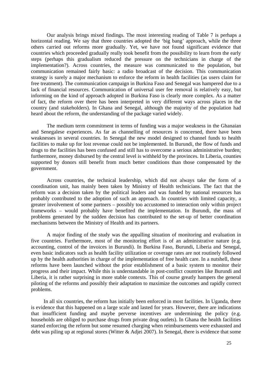Our analysis brings mixed findings. The most interesting reading of Table 7 is perhaps a horizontal reading. We say that three countries adopted the 'big bang' approach, while the three others carried out reforms more gradually. Yet, we have not found significant evidence that countries which proceeded gradually really took benefit from the possibility to learn from the early steps (perhaps this gradualism reduced the pressure on the technicians in charge of the implementation?). Across countries, the measure was communicated to the population, but communication remained fairly basic: a radio broadcast of the decision. This communication strategy is surely a major mechanism to enforce the reform in health facilities (as users claim for free treatment). The communication campaign in Burkina Faso and Senegal was hampered due to a lack of financial resources. Communication of universal user fee removal is relatively easy, but informing on the kind of approach adopted in Burkina Faso is clearly more complex. As a matter of fact, the reform over there has been interpreted in very different ways across places in the country (and stakeholders). In Ghana and Senegal, although the majority of the population had heard about the reform, the understanding of the package varied widely.

The medium term commitment in terms of funding was a major weakness in the Ghanaian and Senegalese experiences. As far as channelling of resources is concerned, there have been weaknesses in several countries. In Senegal the new model designed to channel funds to health facilities to make up for lost revenue could not be implemented. In Burundi, the flow of funds and drugs to the facilities has been confused and still has to overcome a serious administrative burden; furthermore, money disbursed by the central level is withheld by the provinces. In Liberia, counties supported by donors still benefit from much better conditions than those compensated by the government.

Across countries, the technical leadership, which did not always take the form of a coordination unit, has mainly been taken by Ministry of Health technicians. The fact that the reform was a decision taken by the political leaders and was funded by national resources has probably contributed to the adoption of such an approach. In countries with limited capacity, a greater involvement of some partners – possibly too accustomed to interaction only within project frameworks – would probably have benefited the implementation. In Burundi, the mass of problems generated by the sudden decision has contributed to the set-up of better coordination mechanisms between the Ministry of Health and its partners.

A major finding of the study was the appalling situation of monitoring and evaluation in five countries. Furthermore, most of the monitoring effort is of an administrative nature (e.g. accounting, control of the invoices in Burundi). In Burkina Faso, Burundi, Liberia and Senegal, even basic indicators such as health facility utilization or coverage rates are not routinely followed up by the health authorities in charge of the implementation of free health care. In a nutshell, these reforms have been launched without the prior establishment of a basic system to monitor their progress and their impact. While this is understandable in post-conflict countries like Burundi and Liberia, it is rather surprising in more stable contexts. This of course greatly hampers the general piloting of the reforms and possibly their adaptation to maximize the outcomes and rapidly correct problems.

In all six countries, the reform has initially been enforced in most facilities. In Uganda, there is evidence that this happened on a large scale and lasted for years. However, there are indications that insufficient funding and maybe perverse incentives are undermining the policy (e.g. households are obliged to purchase drugs from private drug outlets). In Ghana the health facilities started enforcing the reform but some resumed charging when reimbursements were exhausted and debt was piling up at regional stores (Witter & Adjei 2007). In Senegal, there is evidence that some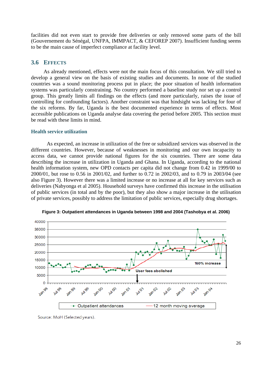facilities did not even start to provide free deliveries or only removed some parts of the bill (Gouvernement du Sénégal, UNFPA, IMMPACT, & CEFOREP 2007). Insufficient funding seems to be the main cause of imperfect compliance at facility level.

#### **3.6 EFFECTS**

As already mentioned, effects were not the main focus of this consultation. We still tried to develop a general view on the basis of existing studies and documents. In none of the studied countries was a sound monitoring process put in place; the poor situation of health information systems was particularly constraining. No country performed a baseline study nor set up a control group. This greatly limits all findings on the effects (and more particularly, raises the issue of controlling for confounding factors). Another constraint was that hindsight was lacking for four of the six reforms. By far, Uganda is the best documented experience in terms of effects. Most accessible publications on Uganda analyse data covering the period before 2005. This section must be read with these limits in mind.

#### **Health service utilization**

As expected, an increase in utilization of the free or subsidized services was observed in the different countries. However, because of weaknesses in monitoring and our own incapacity to access data, we cannot provide national figures for the six countries. There are some data describing the increase in utilization in Uganda and Ghana. In Uganda, according to the national health information system, new OPD contacts per capita did not change from 0.42 in 1999/00 to 2000/01, but rose to 0.56 in 2001/02, and further to 0.72 in 2002/03, and to 0.79 in 2003/04 (see also Figure 3). However there was a limited increase or no increase at all for key services such as deliveries (Nabyonga et al 2005). Household surveys have confirmed this increase in the utilisation of public services (in total and by the poor), but they also show a major increase in the utilisation of private services, possibly to address the limitation of public services, especially drug shortages.



**Figure 3: Outpatient attendances in Uganda between 1998 and 2004 (Tashobya et al. 2006)** 

Source: MoH (Selected years).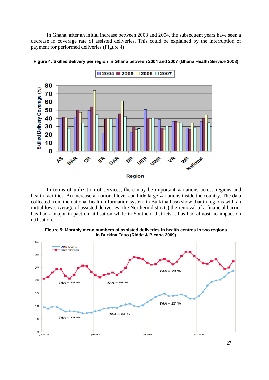In Ghana, after an initial increase between 2003 and 2004, the subsequent years have seen a decrease in coverage rate of assisted deliveries. This could be explained by the interruption of payment for performed deliveries (Figure 4)



**Figure 4: Skilled delivery per region in Ghana between 2004 and 2007 (Ghana Health Service 2008)** 

In terms of utilization of services, there may be important variations across regions and health facilities. An increase at national level can hide large variations inside the country. The data collected from the national health information system in Burkina Faso show that in regions with an initial low coverage of assisted deliveries (the Northern districts) the removal of a financial barrier has had a major impact on utilisation while in Southern districts it has had almost no impact on utilisation.



**Figure 5: Monthly mean numbers of assisted deliveries in health centres in two regions in Burkina Faso (Ridde & Bicaba 2009)**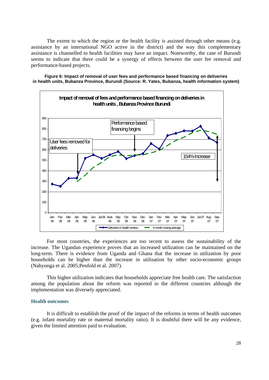The extent to which the region or the health facility is assisted through other means (e.g. assistance by an international NGO active in the district) and the way this complementary assistance is channelled to health facilities may have an impact. Noteworthy, the case of Burundi seems to indicate that there could be a synergy of effects between the user fee removal and performance-based projects.

**Figure 6: Impact of removal of user fees and performance based financing on deliveries in health units, Bubanza Province, Burundi (Source: R. Yates, Bubanza, health information system)** 



For most countries, the experiences are too recent to assess the sustainability of the increase. The Ugandan experience proves that an increased utilization can be maintained on the long-term. There is evidence from Uganda and Ghana that the increase in utilization by poor households can be higher than the increase in utilisation by other socio-economic groups (Nabyonga et al. 2005;Penfold et al. 2007).

This higher utilization indicates that households appreciate free health care. The satisfaction among the population about the reform was reported in the different countries although the implementation was diversely appreciated.

#### **Health outcomes**

It is difficult to establish the proof of the impact of the reforms in terms of health outcomes (e.g. infant mortality rate or maternal mortality ratio). It is doubtful there will be any evidence, given the limited attention paid to evaluation.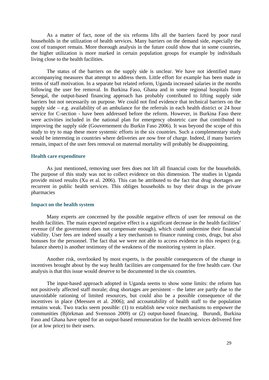As a matter of fact, none of the six reforms lifts all the barriers faced by poor rural households in the utilization of health services. Many barriers on the demand side, especially the cost of transport remain. More thorough analysis in the future could show that in some countries, the higher utilization is more marked in certain population groups for example by individuals living close to the health facilities.

The status of the barriers on the supply side is unclear. We have not identified many accompanying measures that attempt to address them. Little effort for example has been made in terms of staff motivation. In a separate but related reform, Uganda increased salaries in the months following the user fee removal. In Burkina Faso, Ghana and in some regional hospitals from Senegal, the output-based financing approach has probably contributed to lifting supply side barriers but not necessarily on purpose. We could not find evidence that technical barriers on the supply side – e.g. availability of an ambulance for the referrals in each health district or 24 hour service for C-section - have been addressed before the reform. However, in Burkina Faso there were activities included in the national plan for emergency obstetric care that contributed to improving the supply side (Gouvernement du Burkin Faso 2006). It was beyond the scope of this study to try to map these more systemic efforts in the six countries. Such a complementary study would be interesting in countries where deliveries are now free of charge. Indeed, if many barriers remain, impact of the user fees removal on maternal mortality will probably be disappointing.

#### **Health care expenditure**

As just mentioned, removing user fees does not lift all financial costs for the households. The purpose of this study was not to collect evidence on this dimension. The studies in Uganda provide mixed results (Xu et al. 2006). This can be attributed to the fact that drug shortages are recurrent in public health services. This obliges households to buy their drugs in the private pharmacies

#### **Impact on the health system**

Many experts are concerned by the possible negative effects of user fee removal on the health facilities. The main expected negative effect is a significant decrease in the health facilities' revenue (if the government does not compensate enough), which could undermine their financial viability. User fees are indeed usually a key mechanism to finance running costs, drugs, but also bonuses for the personnel. The fact that we were not able to access evidence in this respect (e.g. balance sheets) is another testimony of the weakness of the monitoring system in place.

Another risk, overlooked by most experts, is the possible consequences of the change in incentives brought about by the way health facilities are compensated for the free health care. Our analysis is that this issue would deserve to be documented in the six countries.

The input-based approach adopted in Uganda seems to show some limits: the reform has not positively affected staff morale; drug shortages are persistent – the latter are partly due to the unavoidable rationing of limited resources, but could also be a possible consequence of the incentives in place (Meessen et al. 2006); and accountability of health staff to the population remains weak. Two tracks seem possible: (1) to establish new voice mechanisms to empower the communities (Björkman and Svensson 2009) or (2) output-based financing. Burundi, Burkina Faso and Ghana have opted for an output-based remuneration for the health services delivered free (or at low price) to their users.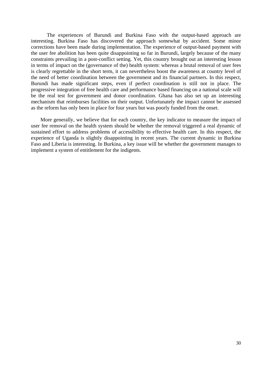The experiences of Burundi and Burkina Faso with the output-based approach are interesting. Burkina Faso has discovered the approach somewhat by accident. Some minor corrections have been made during implementation. The experience of output-based payment with the user fee abolition has been quite disappointing so far in Burundi, largely because of the many constraints prevailing in a post-conflict setting. Yet, this country brought out an interesting lesson in terms of impact on the (governance of the) health system: whereas a brutal removal of user fees is clearly regrettable in the short term, it can nevertheless boost the awareness at country level of the need of better coordination between the government and its financial partners. In this respect, Burundi has made significant steps, even if perfect coordination is still not in place. The progressive integration of free health care and performance based financing on a national scale will be the real test for government and donor coordination. Ghana has also set up an interesting mechanism that reimburses facilities on their output. Unfortunately the impact cannot be assessed as the reform has only been in place for four years but was poorly funded from the onset.

More generally, we believe that for each country, the key indicator to measure the impact of user fee removal on the health system should be whether the removal triggered a real dynamic of sustained effort to address problems of accessibility to effective health care. In this respect, the experience of Uganda is slightly disappointing in recent years. The current dynamic in Burkina Faso and Liberia is interesting. In Burkina, a key issue will be whether the government manages to implement a system of entitlement for the indigents.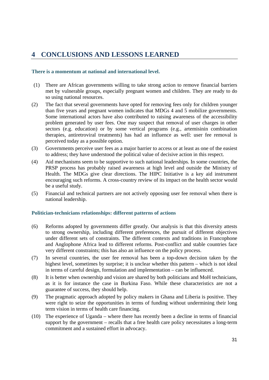### **4 CONCLUSIONS AND LESSONS LEARNED**

#### **There is a momentum at national and international level.**

- (1) There are African governments willing to take strong action to remove financial barriers met by vulnerable groups, especially pregnant women and children. They are ready to do so using national resources.
- (2) The fact that several governments have opted for removing fees only for children younger than five years and pregnant women indicates that MDGs 4 and 5 mobilize governments. Some international actors have also contributed to raising awareness of the accessibility problem generated by user fees. One may suspect that removal of user charges in other sectors (e.g. education) or by some vertical programs (e.g., artemisinin combination therapies, antiretroviral treatments) has had an influence as well: user fee removal is perceived today as a possible option.
- (3) Governments perceive user fees as a major barrier to access or at least as one of the easiest to address; they have understood the political value of decisive action in this respect.
- (4) Aid mechanisms seem to be supportive to such national leaderships. In some countries, the PRSP process has probably raised awareness at high level and outside the Ministry of Health. The MDGs give clear directions. The HIPC Initiative is a key aid instrument encouraging such reforms. A cross-country review of its impact on the health sector would be a useful study.
- (5) Financial and technical partners are not actively opposing user fee removal when there is national leadership.

#### **Politician-technicians relationships: different patterns of actions**

- (6) Reforms adopted by governments differ greatly. Our analysis is that this diversity attests to strong ownership, including different preferences, the pursuit of different objectives under different sets of constraints. The different contexts and traditions in Francophone and Anglophone Africa lead to different reforms. Post-conflict and stable countries face very different constraints; this has also an influence on the policy process.
- (7) In several countries, the user fee removal has been a top-down decision taken by the highest level, sometimes by surprise; it is unclear whether this pattern – which is not ideal in terms of careful design, formulation and implementation – can be influenced.
- (8) It is better when ownership and vision are shared by both politicians and MoH technicians, as it is for instance the case in Burkina Faso. While these characteristics are not a guarantee of success, they should help.
- (9) The pragmatic approach adopted by policy makers in Ghana and Liberia is positive. They were right to seize the opportunities in terms of funding without undermining their long term vision in terms of health care financing.
- (10) The experience of Uganda where there has recently been a decline in terms of financial support by the government – recalls that a free health care policy necessitates a long-term commitment and a sustained effort in advocacy.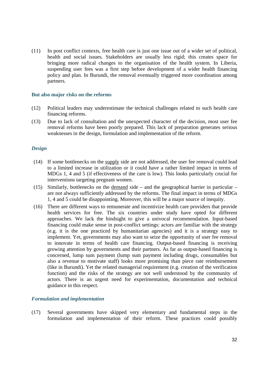(11) In post conflict contexts, free health care is just one issue out of a wider set of political, health and social issues. Stakeholders are usually less rigid; this creates space for bringing more radical changes to the organisation of the health system. In Liberia, suspending user fees was a first step before development of a wider health financing policy and plan. In Burundi, the removal eventually triggered more coordination among partners.

#### **But also major risks on the reforms**

- (12) Political leaders may underestimate the technical challenges related to such health care financing reforms.
- (13) Due to lack of consultation and the unexpected character of the decision, most user fee removal reforms have been poorly prepared. This lack of preparation generates serious weaknesses in the design, formulation and implementation of the reform.

#### *Design*

- (14) If some bottlenecks on the supply side are not addressed, the user fee removal could lead to a limited increase in utilization or it could have a rather limited impact in terms of MDGs 1, 4 and 5 (if effectiveness of the care is low). This looks particularly crucial for interventions targeting pregnant women.
- (15) Similarly, bottlenecks on the demand side and the geographical barrier in particular are not always sufficiently addressed by the reforms. The final impact in terms of MDGs 1, 4 and 5 could be disappointing. Moreover, this will be a major source of inequity.
- (16) There are different ways to remunerate and incentivize health care providers that provide health services for free. The six countries under study have opted for different approaches. We lack the hindsight to give a univocal recommendation. Input-based financing could make sense in post-conflict settings: actors are familiar with the strategy (e.g. it is the one practiced by humanitarian agencies) and it is a strategy easy to implement. Yet, governments may also want to seize the opportunity of user fee removal to innovate in terms of health care financing. Output-based financing is receiving growing attention by governments and their partners. As far as output-based financing is concerned, lump sum payment (lump sum payment including drugs, consumables but also a revenue to motivate staff) looks more promising than piece rate reimbursement (like in Burundi). Yet the related managerial requirement (e.g. creation of the verification function) and the risks of the strategy are not well understood by the community of actors. There is an urgent need for experimentation, documentation and technical guidance in this respect.

#### *Formulation and implementation*

(17) Several governments have skipped very elementary and fundamental steps in the formulation and implementation of their reform. These practices could possibly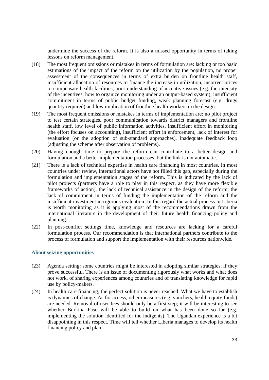undermine the success of the reform. It is also a missed opportunity in terms of taking lessons on reform management.

- (18) The most frequent omissions or mistakes in terms of formulation are: lacking or too basic estimations of the impact of the reform on the utilization by the population, no proper assessment of the consequences in terms of extra burden on frontline health staff, insufficient allocation of resources to finance the increase in utilization, incorrect prices to compensate health facilities, poor understanding of incentive issues (e.g. the intensity of the incentives, how to organize monitoring under an output-based system), insufficient commitment in terms of public budget funding, weak planning forecast (e.g. drugs quantity required) and low implication of frontline health workers in the design.
- (19) The most frequent omissions or mistakes in terms of implementation are: no pilot project to test certain strategies, poor communication towards district managers and frontline health staff, low level of public information activities, insufficient effort in monitoring (the effort focuses on accounting), insufficient effort in enforcement, lack of interest for evaluation (or the adoption of sub-standard approaches), inadequate feedback loop (adjusting the scheme after observation of problems).
- (20) Having enough time to prepare the reform can contribute to a better design and formulation and a better implementation processes, but the link is not automatic.
- (21) There is a lack of technical expertise in health care financing in most countries. In most countries under review, international actors have not filled this gap, especially during the formulation and implementation stages of the reform. This is indicated by the lack of pilot projects (partners have a role to play in this respect, as they have more flexible frameworks of action), the lack of technical assistance in the design of the reform, the lack of commitment in terms of funding the implementation of the reform and the insufficient investment in rigorous evaluation. In this regard the actual process in Liberia is worth monitoring as it is applying most of the recommendations drawn from the international literature in the development of their future health financing policy and planning.
- (22) In post-conflict settings time, knowledge and resources are lacking for a careful formulation process. Our recommendation is that international partners contribute to the process of formulation and support the implementation with their resources nationwide.

#### **About seizing opportunities**

- (23) Agenda setting: some countries might be interested in adopting similar strategies, if they prove successful. There is an issue of documenting rigorously what works and what does not work, of sharing experiences among countries and of translating knowledge for rapid use by policy-makers.
- (24) In health care financing, the perfect solution is never reached. What we have to establish is dynamics of change. As for access, other measures (e.g. vouchers, health equity funds) are needed. Removal of user fees should only be a first step; it will be interesting to see whether Burkina Faso will be able to build on what has been done so far (e.g. implementing the solution identified for the indigents). The Ugandan experience is a bit disappointing in this respect. Time will tell whether Liberia manages to develop its health financing policy and plan.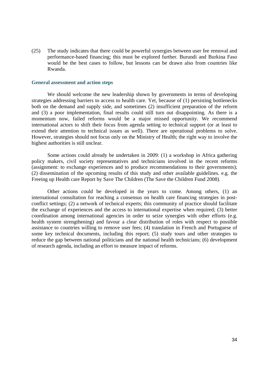(25) The study indicates that there could be powerful synergies between user fee removal and performance-based financing; this must be explored further. Burundi and Burkina Faso would be the best cases to follow, but lessons can be drawn also from countries like Rwanda.

#### **General assessment and action steps**

We should welcome the new leadership shown by governments in terms of developing strategies addressing barriers to access to health care. Yet, because of (1) persisting bottlenecks both on the demand and supply side, and sometimes (2) insufficient preparation of the reform and (3) a poor implementation, final results could still turn out disappointing. As there is a momentum now, failed reforms would be a major missed opportunity. We recommend international actors to shift their focus from agenda setting to technical support (or at least to extend their attention to technical issues as well). There are operational problems to solve. However, strategies should not focus only on the Ministry of Health; the right way to involve the highest authorities is still unclear.

Some actions could already be undertaken in 2009: (1) a workshop in Africa gathering policy makers, civil society representatives and technicians involved in the recent reforms (assignment: to exchange experiences and to produce recommendations to their governments); (2) dissemination of the upcoming results of this study and other available guidelines. e.g. the Freeing up Health care Report by Save The Children (The Save the Children Fund 2008).

Other actions could be developed in the years to come. Among others, (1) an international consultation for reaching a consensus on health care financing strategies in postconflict settings; (2) a network of technical experts; this community of practice should facilitate the exchange of experiences and the access to international expertise when required; (3) better coordination among international agencies in order to seize synergies with other efforts (e.g. health system strengthening) and favour a clear distribution of roles with respect to possible assistance to countries willing to remove user fees; (4) translation in French and Portuguese of some key technical documents, including this report; (5) study tours and other strategies to reduce the gap between national politicians and the national health technicians; (6) development of research agenda, including an effort to measure impact of reforms.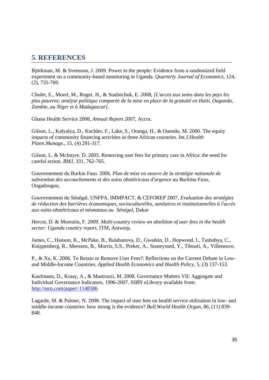### **5**. **REFERENCES**

Björkman, M. & Svensson, J. 2009. Power to the people: Evidence from a randomized field experiment on a community-based monitoring in Uganda. *Quarterly Journal of Economics*, 124, (2), 735-769.

Cholet, E., Morel, M., Roger, H., & Stadnichuk, E. 2008, *[L'acces aux soins dans les pays les plus pauvres; analyse politique comparée de la mise en place de la gratuité en Haïti, Ouganda, Zambie, au Niger et à Madagascar]*.

Ghana Health Service 2008, *Annual Report 2007*, Accra.

Gilson, L., Kalyalya, D., Kuchler, F., Lake, S., Oranga, H., & Ouendo, M. 2000. The equity impacts of community financing activities in three African countries. *Int.J.Health Plann.Manage.*, 15, (4) 291-317.

Gilson, L. & McIntyre, D. 2005. Removing user fees for primary care in Africa: the need for careful action. *BMJ*, 331, 762-765.

Gouvernement du Burkin Faso. 2006. *Plan de mise en oeuvre de la stratégie nationale de subvention des accouchements et des soins obstétricaux d'urgence au Burkina Faso*, Ougadougou.

Gouvernement du Sénégal, UNFPA, IMMPACT, & CEFOREP 2007, *Evaluation des stratégies de réduction des barrières économiques, socioculturelles, sanitaires et institutionnelles à l'accès aux soins obstétricaux et néonataux au Sénégal*, Dakar

Hercot, D. & Morestin, F. 2009. *Multi-country review on abolition of user fees in the health sector: Uganda country report*, ITM, Antwerp.

James, C., Hanson, K., McPake, B., Balabanova, D., Gwatkin, D., Hopwood, I., Tashobya, C., Knippenberg, R., Meessen, B., Morris, S.S., Preker, A., Souteyrand, Y., Tibouti, A., Villeneuve,

P., & Xu, K. 2006. To Retain or Remove User Fees?: Reflections on the Current Debate in Lowand Middle-Income Countries. *Applied Health Economics and Health Policy*, 5, (3) 137-153.

Kaufmann, D., Kraay, A., & Mastruzzi, M. 2008. Governance Matters VII: Aggregate and Individual Governance Indicators, 1996-2007. *SSRN eLibrary* available from: http://ssrn.com/paper=1148386

Lagarde, M. & Palmer, N. 2008. The impact of user fees on health service utilization in low- and middle-income countries: how strong is the evidence? *Bull.World Health Organ*, 86, (11) 839- 848.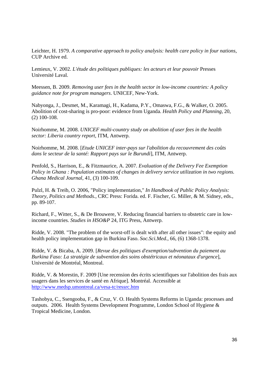Leichter, H. 1979. *A comparative approach to policy analysis: health care policy in four nations*, CUP Archive ed.

Lemieux, V. 2002. *L'étude des politiques publiques: les acteurs et leur pouvoir* Presses Université Laval.

Meessen, B. 2009. *Removing user fees in the health sector in low-income countries: A policy guidance note for program managers*. UNICEF, New-York.

Nabyonga, J., Desmet, M., Karamagi, H., Kadama, P.Y., Omaswa, F.G., & Walker, O. 2005. Abolition of cost-sharing is pro-poor: evidence from Uganda. *Health Policy and Planning*, 20, (2) 100-108.

Noirhomme, M. 2008. *UNICEF multi-country study on abolition of user fees in the health sector: Liberia country report*, ITM, Antwerp.

Noirhomme, M. 2008. [*Etude UNICEF inter-pays sur l'abolition du recouvrement des coûts dans le secteur de la santé: Rapport pays sur le Burundi*], ITM, Antwerp.

Penfold, S., Harrison, E., & Fitzmaurice, A. 2007. *Evaluation of the Delivery Fee Exemption Policy in Ghana : Population estimates of changes in delivery service utilization in two regions. Ghana Medical Journal*, 41, (3) 100-109.

Pulzl, H. & Treib, O. 2006, "Policy implementation," *In Handbook of Public Policy Analysis: Theory, Politics and Methods.*, CRC Press: Forida. ed. F. Fischer, G. Miller, & M. Sidney, eds., pp. 89-107.

Richard, F., Witter, S., & De Brouwere, V. Reducing financial barriers to obstetric care in lowincome countries. *Studies in HSO&P* 24, ITG Press, Antwerp.

Ridde, V. 2008. "The problem of the worst-off is dealt with after all other issues": the equity and health policy implementation gap in Burkina Faso. *Soc.Sci.Med.*, 66, (6) 1368-1378.

Ridde, V. & Bicaba, A. 2009. [*Revue des politiques d'exemption/subvention du paiement au Burkina Faso: La stratégie de subvention des soins obstétricaux et néonataux d'urgence*], Université de Montréal, Montreal.

Ridde, V. & Morestin, F. 2009 [Une recension des écrits scientifiques sur l'abolition des frais aux usagers dans les services de santé en Afrique]. Montréal. Accessible at http://www.medsp.umontreal.ca/vesa-tc/ressrc.htm

Tashobya, C., Ssengooba, F., & Cruz, V. O. Health Systems Reforms in Uganda: processes and outputs. 2006. Health Systems Development Programme, London School of Hygiene & Tropical Medicine, London.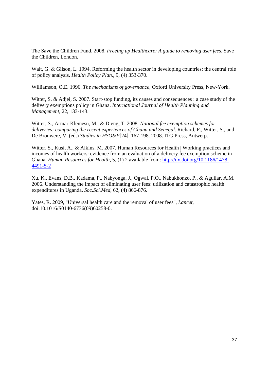The Save the Children Fund. 2008. *Freeing up Healthcare: A guide to removing user fees*. Save the Children, London.

Walt, G. & Gilson, L. 1994. Reforming the health sector in developing countries: the central role of policy analysis. *Health Policy Plan.*, 9, (4) 353-370.

Williamson, O.E. 1996. *The mechanisms of governance*, Oxford University Press, New-York.

Witter, S. & Adjei, S. 2007. Start-stop funding, its causes and consequences : a case study of the delivery exemptions policy in Ghana. *International Journal of Health Planning and Management*, 22, 133-143.

Witter, S., Armar-Klemesu, M., & Dieng, T. 2008. *National fee exemption schemes for deliveries: comparing the recent experiences of Ghana and Senegal*. Richard, F., Witter, S., and De Brouwere, V. (ed.) *Studies in HSO&P*[24], 167-198. 2008. ITG Press, Antwerp.

Witter, S., Kusi, A., & Aikins, M. 2007. Human Resources for Health | Working practices and incomes of health workers: evidence from an evaluation of a delivery fee exemption scheme in Ghana. *Human Resources for Health*, 5, (1) 2 available from: http://dx.doi.org/10.1186/1478- 4491-5-2

Xu, K., Evans, D.B., Kadama, P., Nabyonga, J., Ogwal, P.O., Nabukhonzo, P., & Aguilar, A.M. 2006. Understanding the impact of eliminating user fees: utilization and catastrophic health expenditures in Uganda. *Soc.Sci.Med*, 62, (4) 866-876.

Yates, R. 2009, "Universal health care and the removal of user fees", *Lancet,* doi:10.1016/S0140-6736(09)60258-0.